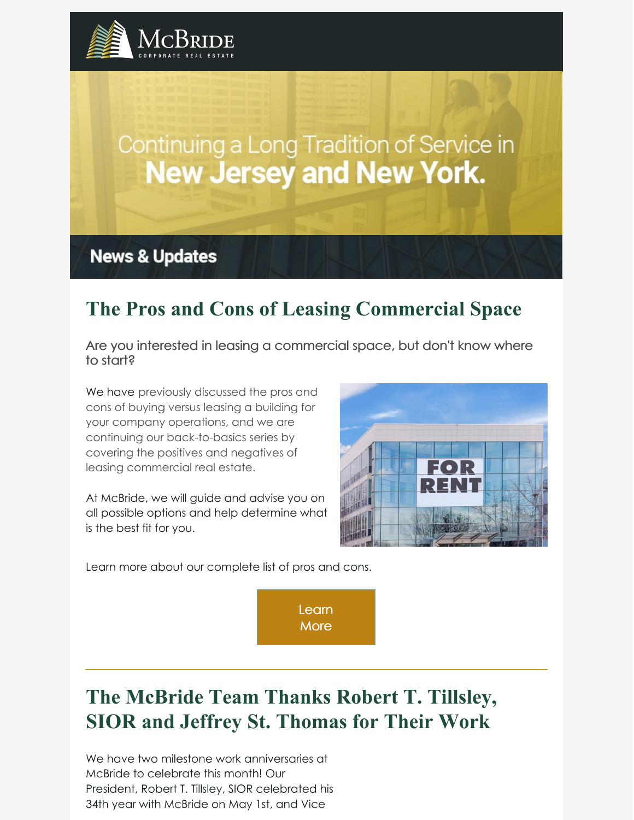

# Continuing a Long Tradition of Service in **New Jersey and New York.**

**News & Updates** 

## **The Pros and Cons of Leasing Commercial Space**

Are you interested in leasing a commercial space, but don't know where to start?

We have previously discussed the pros and cons of buying versus leasing a building for your company operations, and we are continuing our back-to-basics series by covering the positives and negatives of leasing commercial real estate.

At McBride, we will guide and advise you on all possible options and help determine what is the best fit for you.



Learn more about our complete list of pros and cons.

[Learn](https://www.mcbridecorpre.com/pros-and-cons-of-leasing-commercial-real-estate/) **More** 

# **The McBride Team Thanks Robert T. Tillsley, SIOR and Jeffrey St. Thomas for Their Work**

We have two milestone work anniversaries at McBride to celebrate this month! Our President, Robert T. Tillsley, SIOR celebrated his 34th year with McBride on May 1st, and Vice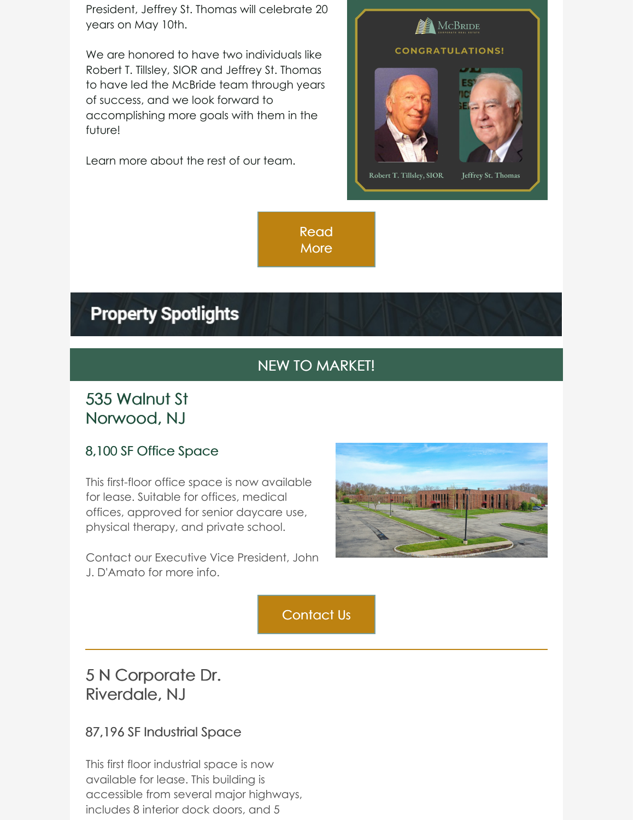President, Jeffrey St. Thomas will celebrate 20 years on May 10th.

We are honored to have two individuals like Robert T. Tillsley, SIOR and Jeffrey St. Thomas to have led the McBride team through years of success, and we look forward to accomplishing more goals with them in the future!

Learn more about the rest of our team.



[Read](https://www.mcbridecorpre.com/staff-mcbride-corporate-real-estate/) **More** 

### **Property Spotlights**

### NEW TO MARKET!

#### 535 Walnut St Norwood, NJ

#### 8,100 SF Office Space

This first-floor office space is now available for lease. Suitable for offices, medical offices, approved for senior daycare use, physical therapy, and private school.

Contact our Executive Vice President, John J. D'Amato for more info.



[Contact](mailto:damatoj@mcbridecorpre.com) Us

### 5 N Corporate Dr. Riverdale, NJ

#### 87,196 SF Industrial Space

This first floor industrial space is now available for lease. This building is accessible from several major highways, includes 8 interior dock doors, and 5